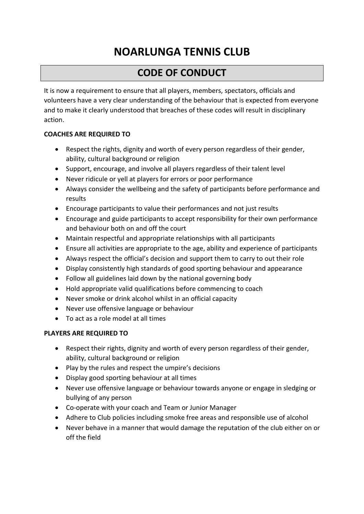# **NOARLUNGA TENNIS CLUB**

## **CODE OF CONDUCT**

It is now a requirement to ensure that all players, members, spectators, officials and volunteers have a very clear understanding of the behaviour that is expected from everyone and to make it clearly understood that breaches of these codes will result in disciplinary action.

#### **COACHES ARE REQUIRED TO**

- Respect the rights, dignity and worth of every person regardless of their gender, ability, cultural background or religion
- Support, encourage, and involve all players regardless of their talent level
- Never ridicule or yell at players for errors or poor performance
- Always consider the wellbeing and the safety of participants before performance and results
- Encourage participants to value their performances and not just results
- Encourage and guide participants to accept responsibility for their own performance and behaviour both on and off the court
- Maintain respectful and appropriate relationships with all participants
- Ensure all activities are appropriate to the age, ability and experience of participants
- Always respect the official's decision and support them to carry to out their role
- Display consistently high standards of good sporting behaviour and appearance
- Follow all guidelines laid down by the national governing body
- Hold appropriate valid qualifications before commencing to coach
- Never smoke or drink alcohol whilst in an official capacity
- Never use offensive language or behaviour
- To act as a role model at all times

### **PLAYERS ARE REQUIRED TO**

- Respect their rights, dignity and worth of every person regardless of their gender, ability, cultural background or religion
- Play by the rules and respect the umpire's decisions
- Display good sporting behaviour at all times
- Never use offensive language or behaviour towards anyone or engage in sledging or bullying of any person
- Co-operate with your coach and Team or Junior Manager
- Adhere to Club policies including smoke free areas and responsible use of alcohol
- Never behave in a manner that would damage the reputation of the club either on or off the field